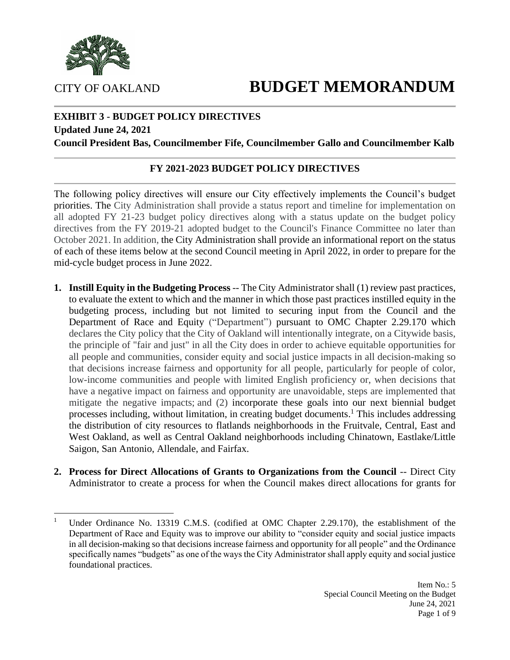# CITY OF OAKLAND **BUDGET MEMORANDUM**



#### **Updated June 24, 2021**

**Council President Bas, Councilmember Fife, Councilmember Gallo and Councilmember Kalb**

#### **FY 2021-2023 BUDGET POLICY DIRECTIVES**

The following policy directives will ensure our City effectively implements the Council's budget priorities. The City Administration shall provide a status report and timeline for implementation on all adopted FY 21-23 budget policy directives along with a status update on the budget policy directives from the FY 2019-21 adopted budget to the Council's Finance Committee no later than October 2021. In addition, the City Administration shall provide an informational report on the status of each of these items below at the second Council meeting in April 2022, in order to prepare for the mid-cycle budget process in June 2022.

- **1. Instill Equity in the Budgeting Process** -- The City Administrator shall (1) review past practices, to evaluate the extent to which and the manner in which those past practices instilled equity in the budgeting process, including but not limited to securing input from the Council and the Department of Race and Equity ("Department") pursuant to OMC Chapter 2.29.170 which declares the City policy that the City of Oakland will intentionally integrate, on a Citywide basis, the principle of "fair and just" in all the City does in order to achieve equitable opportunities for all people and communities, consider equity and social justice impacts in all decision-making so that decisions increase fairness and opportunity for all people, particularly for people of color, low-income communities and people with limited English proficiency or, when decisions that have a negative impact on fairness and opportunity are unavoidable, steps are implemented that mitigate the negative impacts; and (2) incorporate these goals into our next biennial budget processes including, without limitation, in creating budget documents. <sup>1</sup> This includes addressing the distribution of city resources to flatlands neighborhoods in the Fruitvale, Central, East and West Oakland, as well as Central Oakland neighborhoods including Chinatown, Eastlake/Little Saigon, San Antonio, Allendale, and Fairfax.
- **2. Process for Direct Allocations of Grants to Organizations from the Council** -- Direct City Administrator to create a process for when the Council makes direct allocations for grants for



<sup>&</sup>lt;sup>1</sup> Under Ordinance No. 13319 C.M.S. (codified at OMC Chapter 2.29.170), the establishment of the Department of Race and Equity was to improve our ability to "consider equity and social justice impacts in all decision-making so that decisions increase fairness and opportunity for all people" and the Ordinance specifically names "budgets" as one of the ways the City Administrator shall apply equity and social justice foundational practices.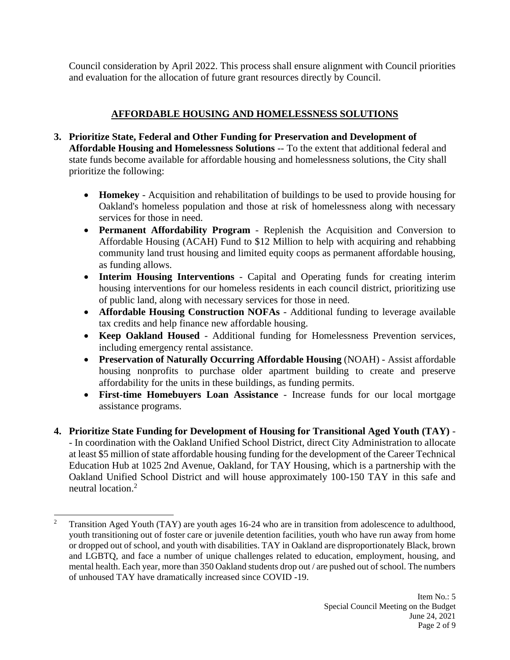Council consideration by April 2022. This process shall ensure alignment with Council priorities and evaluation for the allocation of future grant resources directly by Council.

# **AFFORDABLE HOUSING AND HOMELESSNESS SOLUTIONS**

- **3. Prioritize State, Federal and Other Funding for Preservation and Development of Affordable Housing and Homelessness Solutions** -- To the extent that additional federal and state funds become available for affordable housing and homelessness solutions, the City shall prioritize the following:
	- **Homekey** Acquisition and rehabilitation of buildings to be used to provide housing for Oakland's homeless population and those at risk of homelessness along with necessary services for those in need.
	- **Permanent Affordability Program** Replenish the Acquisition and Conversion to Affordable Housing (ACAH) Fund to \$12 Million to help with acquiring and rehabbing community land trust housing and limited equity coops as permanent affordable housing, as funding allows.
	- **Interim Housing Interventions**  Capital and Operating funds for creating interim housing interventions for our homeless residents in each council district, prioritizing use of public land, along with necessary services for those in need.
	- **Affordable Housing Construction NOFAs** Additional funding to leverage available tax credits and help finance new affordable housing.
	- **Keep Oakland Housed**  Additional funding for Homelessness Prevention services, including emergency rental assistance.
	- **Preservation of Naturally Occurring Affordable Housing** (NOAH) Assist affordable housing nonprofits to purchase older apartment building to create and preserve affordability for the units in these buildings, as funding permits.
	- **First-time Homebuyers Loan Assistance** Increase funds for our local mortgage assistance programs.
- **4. Prioritize State Funding for Development of Housing for Transitional Aged Youth (TAY)**  - In coordination with the Oakland Unified School District, direct City Administration to allocate at least \$5 million of state affordable housing funding for the development of the Career Technical Education Hub at 1025 2nd Avenue, Oakland, for TAY Housing, which is a partnership with the Oakland Unified School District and will house approximately 100-150 TAY in this safe and neutral location.<sup>2</sup>

<sup>&</sup>lt;sup>2</sup> Transition Aged Youth (TAY) are youth ages 16-24 who are in transition from adolescence to adulthood, youth transitioning out of foster care or juvenile detention facilities, youth who have run away from home or dropped out of school, and youth with disabilities. TAY in Oakland are disproportionately Black, brown and LGBTQ, and face a number of unique challenges related to education, employment, housing, and mental health. Each year, more than 350 Oakland students drop out / are pushed out of school. The numbers of unhoused TAY have dramatically increased since COVID -19.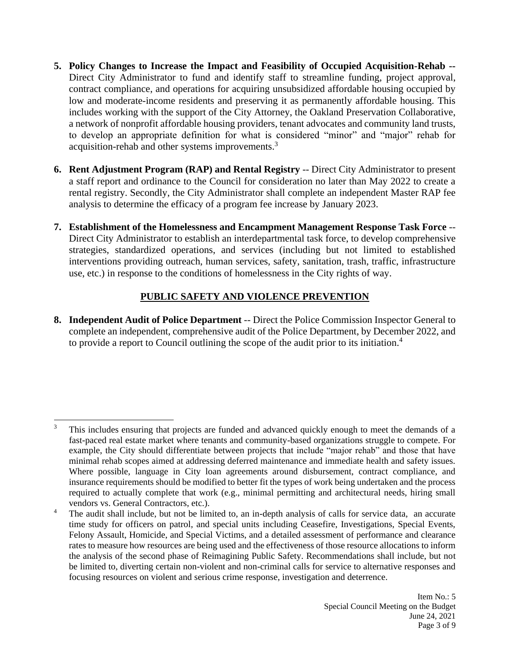- **5. Policy Changes to Increase the Impact and Feasibility of Occupied Acquisition-Rehab --** Direct City Administrator to fund and identify staff to streamline funding, project approval, contract compliance, and operations for acquiring unsubsidized affordable housing occupied by low and moderate-income residents and preserving it as permanently affordable housing. This includes working with the support of the City Attorney, the Oakland Preservation Collaborative, a network of nonprofit affordable housing providers, tenant advocates and community land trusts, to develop an appropriate definition for what is considered "minor" and "major" rehab for acquisition-rehab and other systems improvements.<sup>3</sup>
- **6. Rent Adjustment Program (RAP) and Rental Registry** -- Direct City Administrator to present a staff report and ordinance to the Council for consideration no later than May 2022 to create a rental registry. Secondly, the City Administrator shall complete an independent Master RAP fee analysis to determine the efficacy of a program fee increase by January 2023.
- **7. Establishment of the Homelessness and Encampment Management Response Task Force** -- Direct City Administrator to establish an interdepartmental task force, to develop comprehensive strategies, standardized operations, and services (including but not limited to established interventions providing outreach, human services, safety, sanitation, trash, traffic, infrastructure use, etc.) in response to the conditions of homelessness in the City rights of way.

# **PUBLIC SAFETY AND VIOLENCE PREVENTION**

**8. Independent Audit of Police Department** -- Direct the Police Commission Inspector General to complete an independent, comprehensive audit of the Police Department, by December 2022, and to provide a report to Council outlining the scope of the audit prior to its initiation. 4

<sup>&</sup>lt;sup>3</sup> This includes ensuring that projects are funded and advanced quickly enough to meet the demands of a fast-paced real estate market where tenants and community-based organizations struggle to compete. For example, the City should differentiate between projects that include "major rehab" and those that have minimal rehab scopes aimed at addressing deferred maintenance and immediate health and safety issues. Where possible, language in City loan agreements around disbursement, contract compliance, and insurance requirements should be modified to better fit the types of work being undertaken and the process required to actually complete that work (e.g., minimal permitting and architectural needs, hiring small vendors vs. General Contractors, etc.).

<sup>&</sup>lt;sup>4</sup> The audit shall include, but not be limited to, an in-depth analysis of calls for service data, an accurate time study for officers on patrol, and special units including Ceasefire, Investigations, Special Events, Felony Assault, Homicide, and Special Victims, and a detailed assessment of performance and clearance rates to measure how resources are being used and the effectiveness of those resource allocations to inform the analysis of the second phase of Reimagining Public Safety. Recommendations shall include, but not be limited to, diverting certain non-violent and non-criminal calls for service to alternative responses and focusing resources on violent and serious crime response, investigation and deterrence.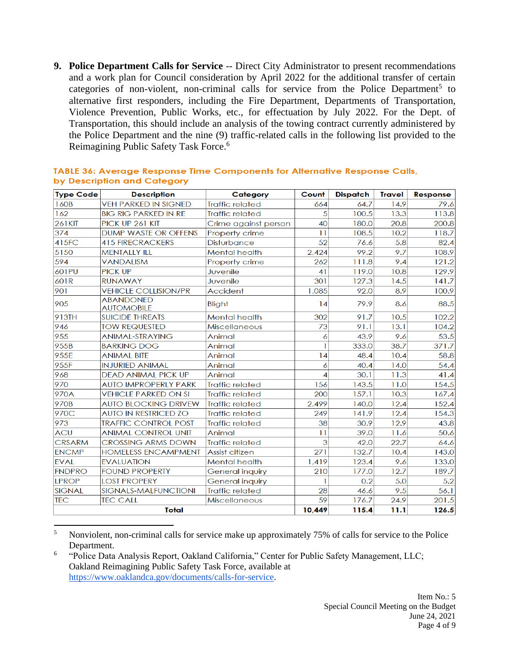**9. Police Department Calls for Service** -- Direct City Administrator to present recommendations and a work plan for Council consideration by April 2022 for the additional transfer of certain categories of non-violent, non-criminal calls for service from the Police Department<sup>5</sup> to alternative first responders, including the Fire Department, Departments of Transportation, Violence Prevention, Public Works, etc., for effectuation by July 2022. For the Dept. of Transportation, this should include an analysis of the towing contract currently administered by the Police Department and the nine (9) traffic-related calls in the following list provided to the Reimagining Public Safety Task Force.<sup>6</sup>

| <b>Type Code</b> | <b>Description</b>                    | Category               | Count  | <b>Dispatch</b> | <b>Travel</b> | Response |
|------------------|---------------------------------------|------------------------|--------|-----------------|---------------|----------|
| 160B             | <b>VEH PARKED IN SIGNED</b>           | <b>Traffic related</b> | 664    | 64.7            | 14.9          | 79.6     |
| 162              | <b>BIG RIG PARKED IN RE</b>           | <b>Traffic related</b> | 5      | 100.5           | 13.3          | 113.8    |
| <b>261KIT</b>    | PICK UP 261 KIT                       | Crime against person   | 40     | 180.0           | 20.8          | 200.8    |
| 374              | <b>DUMP WASTE OR OFFENS</b>           | Property crime         | 11     | 108.5           | 10.2          | 118.7    |
| 415FC            | <b>415 FIRECRACKERS</b>               | <b>Disturbance</b>     | 52     | 76.6            | 5.8           | 82.4     |
| 5150             | <b>MENTALLY ILL</b>                   | <b>Mental health</b>   | 2,424  | 99.2            | 9.7           | 108.9    |
| 594              | <b>VANDALISM</b>                      | Property crime         | 262    | 111.8           | 9.4           | 121.2    |
| 601PU            | <b>PICK UP</b>                        | Juvenile               | 41     | 119.0           | 10.8          | 129.9    |
| 601R             | <b>RUNAWAY</b>                        | Juvenile               | 301    | 127.3           | 14.5          | 141.7    |
| 901              | <b>VEHICLE COLLISION/PR</b>           | Accident               | 1,085  | 92.0            | 8.9           | 100.9    |
| 905              | <b>ABANDONED</b><br><b>AUTOMOBILE</b> | Blight                 | 4      | 79.9            | 8.6           | 88.5     |
| 913TH            | <b>SUICIDE THREATS</b>                | <b>Mental health</b>   | 302    | 91.7            | 10.5          | 102.2    |
| 946              | <b>TOW REQUESTED</b>                  | <b>Miscellaneous</b>   | 73     | 91.1            | 13.1          | 104.2    |
| 955              | <b>ANIMAL-STRAYING</b>                | Animal                 | 6      | 43.9            | 9.6           | 53.5     |
| 955B             | <b>BARKING DOG</b>                    | Animal                 | 1      | 333.0           | 38.7          | 371.7    |
| 955E             | <b>ANIMAL BITE</b>                    | Animal                 | 14     | 48.4            | 10.4          | 58.8     |
| 955F             | <b>INJURIED ANIMAL</b>                | Animal                 | 6      | 40.4            | 14.0          | 54.4     |
| 968              | <b>DEAD ANIMAL PICK UP</b>            | Animal                 | 4      | 30.1            | 11.3          | 41.4     |
| 970              | <b>AUTO IMPROPERLY PARK</b>           | <b>Traffic related</b> | 156    | 143.5           | 11.0          | 154.5    |
| 970A             | <b>VEHICLE PARKED ON SI</b>           | <b>Traffic related</b> | 200    | 157.1           | 10.3          | 167.4    |
| 970B             | <b>AUTO BLOCKING DRIVEW</b>           | <b>Traffic related</b> | 2,499  | 140.0           | 12.4          | 152.4    |
| 970C             | <b>AUTO IN RESTRICED ZO</b>           | <b>Traffic related</b> | 249    | 141.9           | 12.4          | 154.3    |
| 973              | <b>TRAFFIC CONTROL POST</b>           | <b>Traffic related</b> | 38     | 30.9            | 12.9          | 43.8     |
| <b>ACU</b>       | <b>ANIMAL CONTROL UNIT</b>            | Animal                 | 11     | 39.0            | 11.6          | 50.6     |
| <b>CRSARM</b>    | <b>CROSSING ARMS DOWN</b>             | <b>Traffic related</b> | 3      | 42.0            | 22.7          | 64.6     |
| <b>ENCMP</b>     | <b>HOMELESS ENCAMPMENT</b>            | Assist citizen         | 271    | 132.7           | 10.4          | 143.0    |
| <b>EVAL</b>      | <b>EVALUATION</b>                     | Mental health          | 1,419  | 123.4           | 9.6           | 133.0    |
| <b>FNDPRO</b>    | <b>FOUND PROPERTY</b>                 | <b>General inquiry</b> | 210    | 177.0           | 12.7          | 189.7    |
| <b>LPROP</b>     | <b>LOST PROPERY</b>                   | General inquiry        |        | 0.2             | 5.0           | 5.2      |
| <b>SIGNAL</b>    | SIGNALS-MALFUNCTIONI                  | <b>Traffic related</b> | 28     | 46.6            | 9.5           | 56.1     |
| <b>TEC</b>       | <b>TEC CALL</b>                       | <b>Miscellaneous</b>   | 59     | 176.7           | 24.9          | 201.5    |
| <b>Total</b>     |                                       |                        | 10,449 | 115.4           | 11.1          | 126.5    |

#### TABLE 36: Average Response Time Components for Alternative Response Calls, by Description and Category

<sup>&</sup>lt;sup>5</sup> Nonviolent, non-criminal calls for service make up approximately 75% of calls for service to the Police Department.

<sup>6</sup> "Police Data Analysis Report, Oakland California," Center for Public Safety Management, LLC; Oakland Reimagining Public Safety Task Force, available at [https://www.oaklandca.gov/documents/calls-for-service.](https://www.oaklandca.gov/documents/calls-for-service)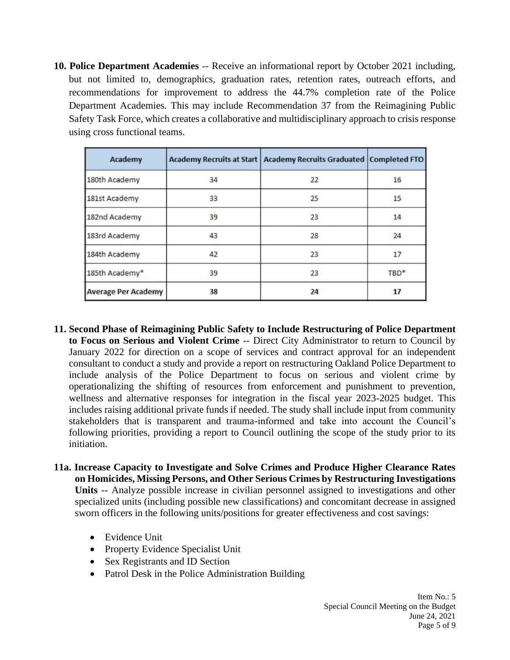**10. Police Department Academies** -- Receive an informational report by October 2021 including, but not limited to, demographics, graduation rates, retention rates, outreach efforts, and recommendations for improvement to address the 44.7% completion rate of the Police Department Academies. This may include Recommendation 37 from the Reimagining Public Safety Task Force, which creates a collaborative and multidisciplinary approach to crisis response using cross functional teams.

| Academy                    |    | Academy Recruits at Start   Academy Recruits Graduated   Completed FTO |      |
|----------------------------|----|------------------------------------------------------------------------|------|
| 180th Academy              | 34 | 22                                                                     | 16   |
| 181st Academy              | 33 | 25                                                                     | 15   |
| 182nd Academy              | 39 | 23                                                                     | 14   |
| 183rd Academy              | 43 | 28                                                                     | 24   |
| 184th Academy              | 42 | 23                                                                     | 17   |
| 185th Academy*             | 39 | 23                                                                     | TBD* |
| <b>Average Per Academy</b> | 38 | 24                                                                     | 17   |

- **11. Second Phase of Reimagining Public Safety to Include Restructuring of Police Department to Focus on Serious and Violent Crime** -- Direct City Administrator to return to Council by January 2022 for direction on a scope of services and contract approval for an independent consultant to conduct a study and provide a report on restructuring Oakland Police Department to include analysis of the Police Department to focus on serious and violent crime by operationalizing the shifting of resources from enforcement and punishment to prevention, wellness and alternative responses for integration in the fiscal year 2023-2025 budget. This includes raising additional private funds if needed. The study shall include input from community stakeholders that is transparent and trauma-informed and take into account the Council's following priorities, providing a report to Council outlining the scope of the study prior to its initiation.
- **11a. Increase Capacity to Investigate and Solve Crimes and Produce Higher Clearance Rates on Homicides, Missing Persons, and Other Serious Crimes by Restructuring Investigations Units** -- Analyze possible increase in civilian personnel assigned to investigations and other specialized units (including possible new classifications) and concomitant decrease in assigned sworn officers in the following units/positions for greater effectiveness and cost savings:
	- Evidence Unit
	- Property Evidence Specialist Unit
	- Sex Registrants and ID Section
	- Patrol Desk in the Police Administration Building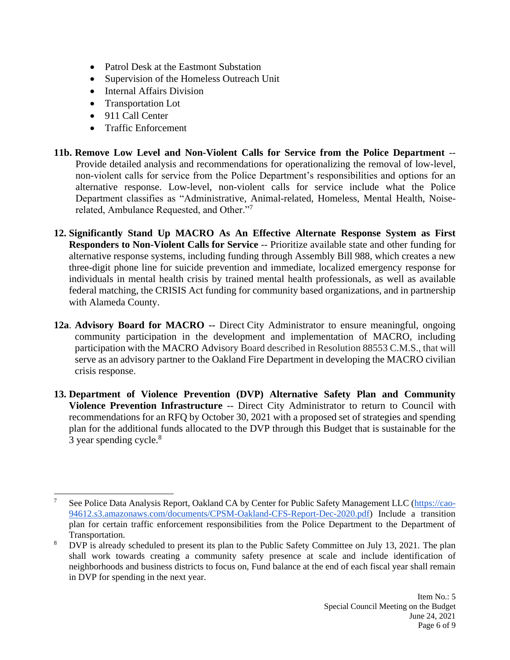- Patrol Desk at the Eastmont Substation
- Supervision of the Homeless Outreach Unit
- Internal Affairs Division
- Transportation Lot
- 911 Call Center
- Traffic Enforcement
- **11b. Remove Low Level and Non-Violent Calls for Service from the Police Department** -- Provide detailed analysis and recommendations for operationalizing the removal of low-level, non-violent calls for service from the Police Department's responsibilities and options for an alternative response. Low-level, non-violent calls for service include what the Police Department classifies as "Administrative, Animal-related, Homeless, Mental Health, Noiserelated, Ambulance Requested, and Other."<sup>7</sup>
- **12. Significantly Stand Up MACRO As An Effective Alternate Response System as First Responders to Non-Violent Calls for Service** -- Prioritize available state and other funding for alternative response systems, including funding through Assembly Bill 988, which creates a new three-digit phone line for suicide prevention and immediate, localized emergency response for individuals in mental health crisis by trained mental health professionals, as well as available federal matching, the CRISIS Act funding for community based organizations, and in partnership with Alameda County.
- **12a**. **Advisory Board for MACRO --** Direct City Administrator to ensure meaningful, ongoing community participation in the development and implementation of MACRO, including participation with the MACRO Advisory Board described in Resolution 88553 C.M.S., that will serve as an advisory partner to the Oakland Fire Department in developing the MACRO civilian crisis response.
- **13. Department of Violence Prevention (DVP) Alternative Safety Plan and Community Violence Prevention Infrastructure** -- Direct City Administrator to return to Council with recommendations for an RFQ by October 30, 2021 with a proposed set of strategies and spending plan for the additional funds allocated to the DVP through this Budget that is sustainable for the 3 year spending cycle.<sup>8</sup>

<sup>7</sup> See Police Data Analysis Report, Oakland CA by Center for Public Safety Management LLC [\(https://cao-](https://cao-94612.s3.amazonaws.com/documents/CPSM-Oakland-CFS-Report-Dec-2020.pdf)[94612.s3.amazonaws.com/documents/CPSM-Oakland-CFS-Report-Dec-2020.pdf\)](https://cao-94612.s3.amazonaws.com/documents/CPSM-Oakland-CFS-Report-Dec-2020.pdf) Include a transition plan for certain traffic enforcement responsibilities from the Police Department to the Department of Transportation.

<sup>&</sup>lt;sup>8</sup> DVP is already scheduled to present its plan to the Public Safety Committee on July 13, 2021. The plan shall work towards creating a community safety presence at scale and include identification of neighborhoods and business districts to focus on, Fund balance at the end of each fiscal year shall remain in DVP for spending in the next year.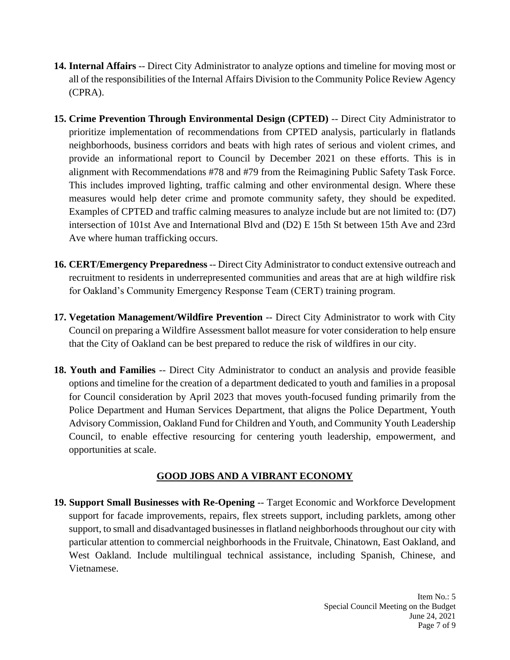- **14. Internal Affairs** -- Direct City Administrator to analyze options and timeline for moving most or all of the responsibilities of the Internal Affairs Division to the Community Police Review Agency (CPRA).
- **15. Crime Prevention Through Environmental Design (CPTED)** -- Direct City Administrator to prioritize implementation of recommendations from CPTED analysis, particularly in flatlands neighborhoods, business corridors and beats with high rates of serious and violent crimes, and provide an informational report to Council by December 2021 on these efforts. This is in alignment with Recommendations #78 and #79 from the Reimagining Public Safety Task Force. This includes improved lighting, traffic calming and other environmental design. Where these measures would help deter crime and promote community safety, they should be expedited. Examples of CPTED and traffic calming measures to analyze include but are not limited to: (D7) intersection of 101st Ave and International Blvd and (D2) E 15th St between 15th Ave and 23rd Ave where human trafficking occurs.
- **16. CERT/Emergency Preparedness** -- Direct City Administrator to conduct extensive outreach and recruitment to residents in underrepresented communities and areas that are at high wildfire risk for Oakland's Community Emergency Response Team (CERT) training program.
- **17. Vegetation Management/Wildfire Prevention** -- Direct City Administrator to work with City Council on preparing a Wildfire Assessment ballot measure for voter consideration to help ensure that the City of Oakland can be best prepared to reduce the risk of wildfires in our city.
- **18. Youth and Families** -- Direct City Administrator to conduct an analysis and provide feasible options and timeline for the creation of a department dedicated to youth and families in a proposal for Council consideration by April 2023 that moves youth-focused funding primarily from the Police Department and Human Services Department, that aligns the Police Department, Youth Advisory Commission, Oakland Fund for Children and Youth, and Community Youth Leadership Council, to enable effective resourcing for centering youth leadership, empowerment, and opportunities at scale.

## **GOOD JOBS AND A VIBRANT ECONOMY**

**19. Support Small Businesses with Re-Opening** -- Target Economic and Workforce Development support for facade improvements, repairs, flex streets support, including parklets, among other support, to small and disadvantaged businesses in flatland neighborhoods throughout our city with particular attention to commercial neighborhoods in the Fruitvale, Chinatown, East Oakland, and West Oakland. Include multilingual technical assistance, including Spanish, Chinese, and Vietnamese.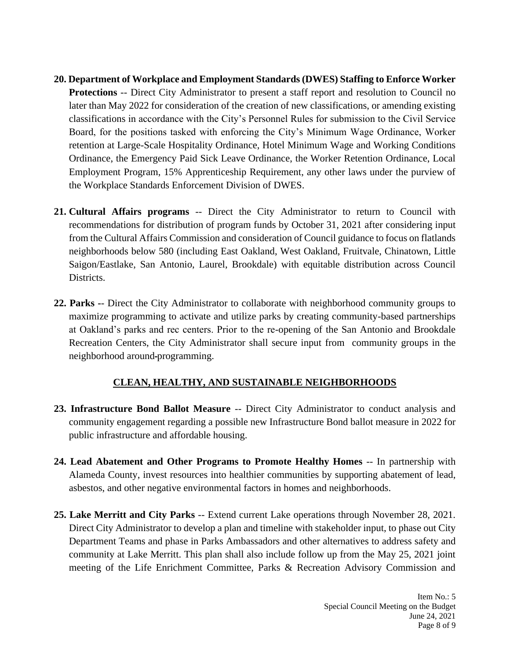- **20. Department of Workplace and Employment Standards (DWES) Staffing to Enforce Worker Protections** -- Direct City Administrator to present a staff report and resolution to Council no later than May 2022 for consideration of the creation of new classifications, or amending existing classifications in accordance with the City's Personnel Rules for submission to the Civil Service Board, for the positions tasked with enforcing the City's Minimum Wage Ordinance, Worker retention at Large-Scale Hospitality Ordinance, Hotel Minimum Wage and Working Conditions Ordinance, the Emergency Paid Sick Leave Ordinance, the Worker Retention Ordinance, Local Employment Program, 15% Apprenticeship Requirement, any other laws under the purview of the Workplace Standards Enforcement Division of DWES.
- **21. Cultural Affairs programs** -- Direct the City Administrator to return to Council with recommendations for distribution of program funds by October 31, 2021 after considering input from the Cultural Affairs Commission and consideration of Council guidance to focus on flatlands neighborhoods below 580 (including East Oakland, West Oakland, Fruitvale, Chinatown, Little Saigon/Eastlake, San Antonio, Laurel, Brookdale) with equitable distribution across Council Districts.
- **22. Parks -** Direct the City Administrator to collaborate with neighborhood community groups to maximize programming to activate and utilize parks by creating community-based partnerships at Oakland's parks and rec centers. Prior to the re-opening of the San Antonio and Brookdale Recreation Centers, the City Administrator shall secure input from community groups in the neighborhood around programming.

### **CLEAN, HEALTHY, AND SUSTAINABLE NEIGHBORHOODS**

- **23. Infrastructure Bond Ballot Measure** -- Direct City Administrator to conduct analysis and community engagement regarding a possible new Infrastructure Bond ballot measure in 2022 for public infrastructure and affordable housing.
- **24. Lead Abatement and Other Programs to Promote Healthy Homes** -- In partnership with Alameda County, invest resources into healthier communities by supporting abatement of lead, asbestos, and other negative environmental factors in homes and neighborhoods.
- **25. Lake Merritt and City Parks** -- Extend current Lake operations through November 28, 2021. Direct City Administrator to develop a plan and timeline with stakeholder input, to phase out City Department Teams and phase in Parks Ambassadors and other alternatives to address safety and community at Lake Merritt. This plan shall also include follow up from the May 25, 2021 joint meeting of the Life Enrichment Committee, Parks & Recreation Advisory Commission and